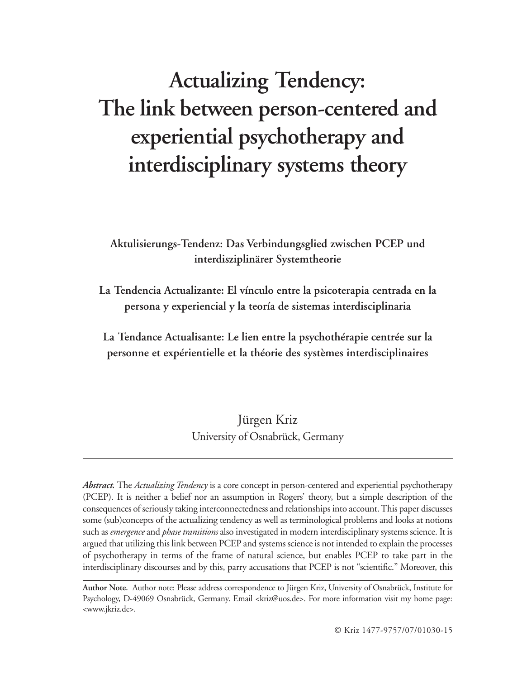# **Actualizing Tendency: The link between person-centered and experiential psychotherapy and interdisciplinary systems theory**

**Aktulisierungs-Tendenz: Das Verbindungsglied zwischen PCEP und interdisziplinärer Systemtheorie**

**La Tendencia Actualizante: El vínculo entre la psicoterapia centrada en la persona y experiencial y la teoría de sistemas interdisciplinaria**

**La Tendance Actualisante: Le lien entre la psychothérapie centrée sur la personne et expérientielle et la théorie des systèmes interdisciplinaires**

> Jürgen Kriz University of Osnabrück, Germany

*Abstract.* The *Actualizing Tendency* is a core concept in person-centered and experiential psychotherapy (PCEP). It is neither a belief nor an assumption in Rogers' theory, but a simple description of the consequences of seriously taking interconnectedness and relationships into account. This paper discusses some (sub)concepts of the actualizing tendency as well as terminological problems and looks at notions such as *emergence* and *phase transitions* also investigated in modern interdisciplinary systems science. It is argued that utilizing this link between PCEP and systems science is not intended to explain the processes of psychotherapy in terms of the frame of natural science, but enables PCEP to take part in the interdisciplinary discourses and by this, parry accusations that PCEP is not "scientific." Moreover, this

**Author Note.** Author note: Please address correspondence to Jürgen Kriz, University of Osnabrück, Institute for Psychology, D-49069 Osnabrück, Germany. Email <kriz@uos.de>. For more information visit my home page: <www.jkriz.de>.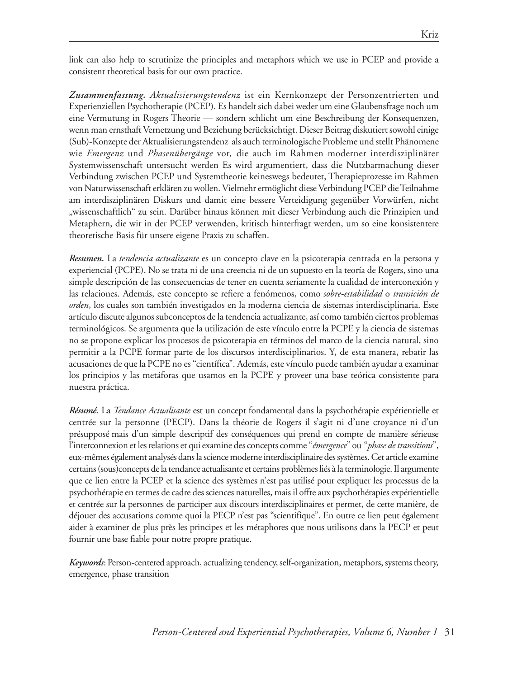link can also help to scrutinize the principles and metaphors which we use in PCEP and provide a consistent theoretical basis for our own practice.

*Zusammenfassung. Aktualisierungstendenz* ist ein Kernkonzept der Personzentrierten und Experienziellen Psychotherapie (PCEP). Es handelt sich dabei weder um eine Glaubensfrage noch um eine Vermutung in Rogers Theorie — sondern schlicht um eine Beschreibung der Konsequenzen, wenn man ernsthaft Vernetzung und Beziehung berücksichtigt. Dieser Beitrag diskutiert sowohl einige (Sub)-Konzepte der Aktualisierungstendenz als auch terminologische Probleme und stellt Phänomene wie *Emergenz* und *Phasenübergänge* vor*,* die auch im Rahmen moderner interdisziplinärer Systemwissenschaft untersucht werden Es wird argumentiert, dass die Nutzbarmachung dieser Verbindung zwischen PCEP und Systemtheorie keineswegs bedeutet, Therapieprozesse im Rahmen von Naturwissenschaft erklären zu wollen. Vielmehr ermöglicht diese Verbindung PCEP die Teilnahme am interdisziplinären Diskurs und damit eine bessere Verteidigung gegenüber Vorwürfen, nicht "wissenschaftlich" zu sein. Darüber hinaus können mit dieser Verbindung auch die Prinzipien und Metaphern, die wir in der PCEP verwenden, kritisch hinterfragt werden, um so eine konsistentere theoretische Basis für unsere eigene Praxis zu schaffen.

*Resumen.* La *tendencia actualizante* es un concepto clave en la psicoterapia centrada en la persona y experiencial (PCPE). No se trata ni de una creencia ni de un supuesto en la teoría de Rogers, sino una simple descripción de las consecuencias de tener en cuenta seriamente la cualidad de interconexión y las relaciones. Además, este concepto se refiere a fenómenos, como *sobre-estabilidad* o *transición de orden*, los cuales son también investigados en la moderna ciencia de sistemas interdisciplinaria. Este artículo discute algunos subconceptos de la tendencia actualizante, así como también ciertos problemas terminológicos. Se argumenta que la utilización de este vínculo entre la PCPE y la ciencia de sistemas no se propone explicar los procesos de psicoterapia en términos del marco de la ciencia natural, sino permitir a la PCPE formar parte de los discursos interdisciplinarios. Y, de esta manera, rebatir las acusaciones de que la PCPE no es "científica". Además, este vínculo puede también ayudar a examinar los principios y las metáforas que usamos en la PCPE y proveer una base teórica consistente para nuestra práctica.

*Résumé.* La *Tendance Actualisante* est un concept fondamental dans la psychothérapie expérientielle et centrée sur la personne (PECP). Dans la théorie de Rogers il s'agit ni d'une croyance ni d'un présupposé mais d'un simple descriptif des conséquences qui prend en compte de manière sérieuse l'interconnexion et les relations et qui examine des concepts comme "*émergence*" ou "*phase de transitions*", eux-mêmes également analysés dans la science moderne interdisciplinaire des systèmes. Cet article examine certains (sous)concepts de la tendance actualisante et certains problèmes liés à la terminologie. Il argumente que ce lien entre la PCEP et la science des systèmes n'est pas utilisé pour expliquer les processus de la psychothérapie en termes de cadre des sciences naturelles, mais il offre aux psychothérapies expérientielle et centrée sur la personnes de participer aux discours interdisciplinaires et permet, de cette manière, de déjouer des accusations comme quoi la PECP n'est pas "scientifique". En outre ce lien peut également aider à examiner de plus près les principes et les métaphores que nous utilisons dans la PECP et peut fournir une base fiable pour notre propre pratique.

*Keywords*: Person-centered approach, actualizing tendency, self-organization, metaphors, systems theory, emergence, phase transition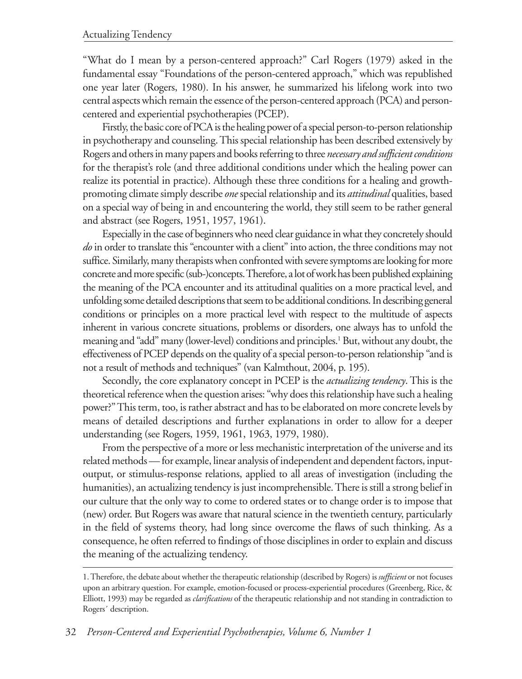"What do I mean by a person-centered approach?" Carl Rogers (1979) asked in the fundamental essay "Foundations of the person-centered approach," which was republished one year later (Rogers, 1980). In his answer, he summarized his lifelong work into two central aspects which remain the essence of the person-centered approach (PCA) and personcentered and experiential psychotherapies (PCEP).

Firstly, the basic core of PCA is the healing power of a special person-to-person relationship in psychotherapy and counseling. This special relationship has been described extensively by Rogers and others in many papers and books referring to three *necessary and sufficient conditions* for the therapist's role (and three additional conditions under which the healing power can realize its potential in practice). Although these three conditions for a healing and growthpromoting climate simply describe *one* special relationship and its *attitudinal* qualities, based on a special way of being in and encountering the world, they still seem to be rather general and abstract (see Rogers, 1951, 1957, 1961).

Especially in the case of beginners who need clear guidance in what they concretely should *do* in order to translate this "encounter with a client" into action, the three conditions may not suffice. Similarly, many therapists when confronted with severe symptoms are looking for more concrete and more specific (sub-)concepts. Therefore, a lot of work has been published explaining the meaning of the PCA encounter and its attitudinal qualities on a more practical level, and unfolding some detailed descriptions that seem to be additional conditions. In describing general conditions or principles on a more practical level with respect to the multitude of aspects inherent in various concrete situations, problems or disorders, one always has to unfold the meaning and "add" many (lower-level) conditions and principles.<sup>1</sup> But, without any doubt, the effectiveness of PCEP depends on the quality of a special person-to-person relationship "and is not a result of methods and techniques" (van Kalmthout, 2004, p. 195).

Secondly*,* the core explanatory concept in PCEP is the *actualizing tendency*. This is the theoretical reference when the question arises: "why does this relationship have such a healing power?" This term, too, is rather abstract and has to be elaborated on more concrete levels by means of detailed descriptions and further explanations in order to allow for a deeper understanding (see Rogers, 1959, 1961, 1963, 1979, 1980).

From the perspective of a more or less mechanistic interpretation of the universe and its related methods — for example, linear analysis of independent and dependent factors, inputoutput, or stimulus-response relations, applied to all areas of investigation (including the humanities), an actualizing tendency is just incomprehensible. There is still a strong belief in our culture that the only way to come to ordered states or to change order is to impose that (new) order. But Rogers was aware that natural science in the twentieth century, particularly in the field of systems theory, had long since overcome the flaws of such thinking. As a consequence, he often referred to findings of those disciplines in order to explain and discuss the meaning of the actualizing tendency.

<sup>1.</sup> Therefore, the debate about whether the therapeutic relationship (described by Rogers) is *sufficient* or not focuses upon an arbitrary question. For example, emotion-focused or process-experiential procedures (Greenberg, Rice, & Elliott, 1993) may be regarded as *clarifications* of the therapeutic relationship and not standing in contradiction to Rogers´ description.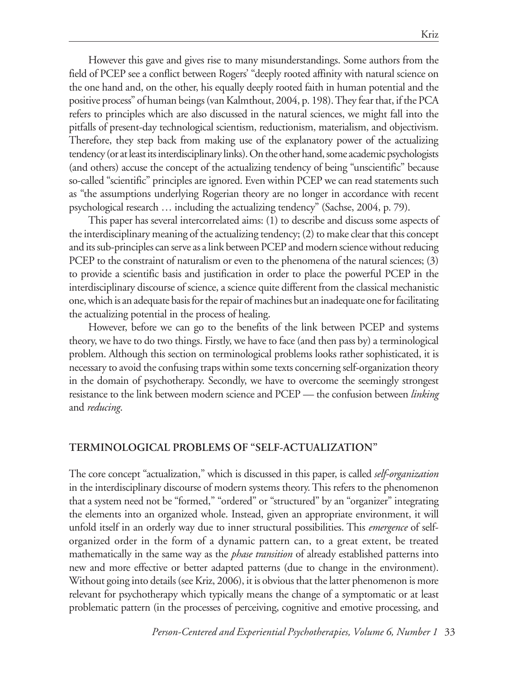However this gave and gives rise to many misunderstandings. Some authors from the field of PCEP see a conflict between Rogers' "deeply rooted affinity with natural science on the one hand and, on the other, his equally deeply rooted faith in human potential and the positive process" of human beings (van Kalmthout, 2004, p. 198). They fear that, if the PCA refers to principles which are also discussed in the natural sciences, we might fall into the pitfalls of present-day technological scientism, reductionism, materialism, and objectivism. Therefore, they step back from making use of the explanatory power of the actualizing tendency (or at least its interdisciplinary links). On the other hand, some academic psychologists (and others) accuse the concept of the actualizing tendency of being "unscientific" because so-called "scientific" principles are ignored. Even within PCEP we can read statements such as "the assumptions underlying Rogerian theory are no longer in accordance with recent psychological research … including the actualizing tendency" (Sachse, 2004, p. 79).

This paper has several intercorrelated aims: (1) to describe and discuss some aspects of the interdisciplinary meaning of the actualizing tendency; (2) to make clear that this concept and its sub-principles can serve as a link between PCEP and modern science without reducing PCEP to the constraint of naturalism or even to the phenomena of the natural sciences; (3) to provide a scientific basis and justification in order to place the powerful PCEP in the interdisciplinary discourse of science, a science quite different from the classical mechanistic one, which is an adequate basis for the repair of machines but an inadequate one for facilitating the actualizing potential in the process of healing.

However, before we can go to the benefits of the link between PCEP and systems theory, we have to do two things. Firstly, we have to face (and then pass by) a terminological problem. Although this section on terminological problems looks rather sophisticated, it is necessary to avoid the confusing traps within some texts concerning self-organization theory in the domain of psychotherapy. Secondly, we have to overcome the seemingly strongest resistance to the link between modern science and PCEP — the confusion between *linking* and *reducing*.

#### **TERMINOLOGICAL PROBLEMS OF "SELF-ACTUALIZATION"**

The core concept "actualization," which is discussed in this paper, is called *self-organization* in the interdisciplinary discourse of modern systems theory. This refers to the phenomenon that a system need not be "formed," "ordered" or "structured" by an "organizer" integrating the elements into an organized whole. Instead, given an appropriate environment, it will unfold itself in an orderly way due to inner structural possibilities. This *emergence* of selforganized order in the form of a dynamic pattern can, to a great extent, be treated mathematically in the same way as the *phase transition* of already established patterns into new and more effective or better adapted patterns (due to change in the environment). Without going into details (see Kriz, 2006), it is obvious that the latter phenomenon is more relevant for psychotherapy which typically means the change of a symptomatic or at least problematic pattern (in the processes of perceiving, cognitive and emotive processing, and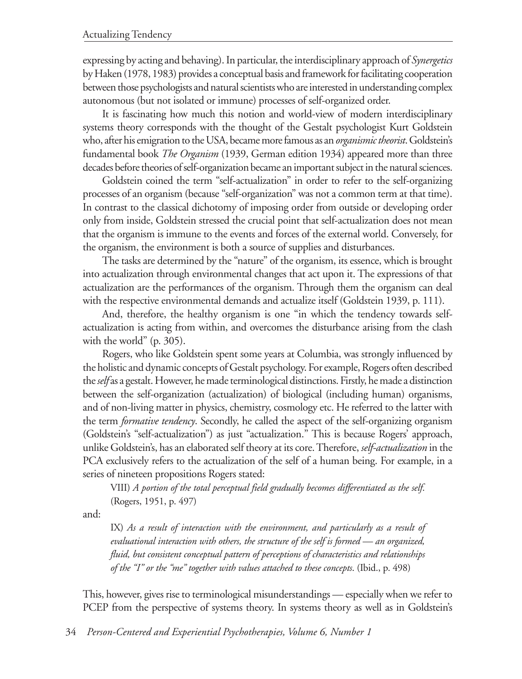expressing by acting and behaving). In particular, the interdisciplinary approach of *Synergetics* by Haken (1978, 1983) provides a conceptual basis and framework for facilitating cooperation between those psychologists and natural scientists who are interested in understanding complex autonomous (but not isolated or immune) processes of self-organized order.

It is fascinating how much this notion and world-view of modern interdisciplinary systems theory corresponds with the thought of the Gestalt psychologist Kurt Goldstein who, after his emigration to the USA, became more famous as an *organismic theorist*. Goldstein's fundamental book *The Organism* (1939, German edition 1934) appeared more than three decades before theories of self-organization became an important subject in the natural sciences.

Goldstein coined the term "self-actualization" in order to refer to the self-organizing processes of an organism (because "self-organization" was not a common term at that time). In contrast to the classical dichotomy of imposing order from outside or developing order only from inside, Goldstein stressed the crucial point that self-actualization does not mean that the organism is immune to the events and forces of the external world. Conversely, for the organism, the environment is both a source of supplies and disturbances.

The tasks are determined by the "nature" of the organism, its essence, which is brought into actualization through environmental changes that act upon it. The expressions of that actualization are the performances of the organism. Through them the organism can deal with the respective environmental demands and actualize itself (Goldstein 1939, p. 111).

And, therefore, the healthy organism is one "in which the tendency towards selfactualization is acting from within, and overcomes the disturbance arising from the clash with the world" (p. 305).

Rogers, who like Goldstein spent some years at Columbia, was strongly influenced by the holistic and dynamic concepts of Gestalt psychology. For example, Rogers often described the *self* as a gestalt. However, he made terminological distinctions. Firstly, he made a distinction between the self-organization (actualization) of biological (including human) organisms, and of non-living matter in physics, chemistry, cosmology etc. He referred to the latter with the term *formative tendency*. Secondly, he called the aspect of the self-organizing organism (Goldstein's "self-actualization") as just "actualization." This is because Rogers' approach, unlike Goldstein's, has an elaborated self theory at its core. Therefore, *self-actualization* in the PCA exclusively refers to the actualization of the self of a human being. For example, in a series of nineteen propositions Rogers stated:

VIII) *A portion of the total perceptual field gradually becomes differentiated as the self*. (Rogers, 1951, p. 497)

and:

IX) *As a result of interaction with the environment, and particularly as a result of evaluational interaction with others, the structure of the self is formed — an organized, fluid, but consistent conceptual pattern of perceptions of characteristics and relationships of the "I" or the "me" together with values attached to these concepts*. (Ibid., p. 498)

This, however, gives rise to terminological misunderstandings — especially when we refer to PCEP from the perspective of systems theory. In systems theory as well as in Goldstein's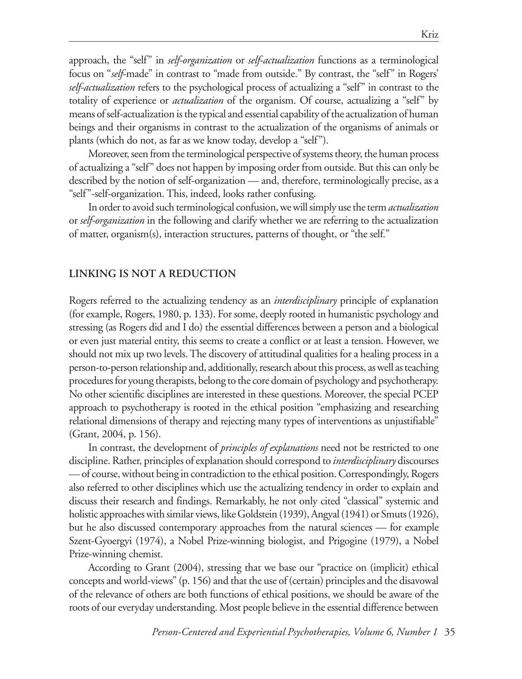approach, the "self" in *self-organization* or *self-actualization* functions as a terminological focus on "*self*-made" in contrast to "made from outside." By contrast, the "self" in Rogers' *self-actualization* refers to the psychological process of actualizing a "self" in contrast to the totality of experience or *actualization* of the organism. Of course, actualizing a "self" by means of self-actualization is the typical and essential capability of the actualization of human beings and their organisms in contrast to the actualization of the organisms of animals or plants (which do not, as far as we know today, develop a "self").

Moreover, seen from the terminological perspective of systems theory, the human process of actualizing a "self" does not happen by imposing order from outside. But this can only be described by the notion of self-organization — and, therefore, terminologically precise, as a "self"-self-organization. This, indeed, looks rather confusing.

In order to avoid such terminological confusion, we will simply use the term *actualization* or *self-organization* in the following and clarify whether we are referring to the actualization of matter, organism(s), interaction structures, patterns of thought, or "the self."

### **LINKING IS NOT A REDUCTION**

Rogers referred to the actualizing tendency as an *interdisciplinary* principle of explanation (for example, Rogers, 1980, p. 133). For some, deeply rooted in humanistic psychology and stressing (as Rogers did and I do) the essential differences between a person and a biological or even just material entity, this seems to create a conflict or at least a tension. However, we should not mix up two levels. The discovery of attitudinal qualities for a healing process in a person-to-person relationship and, additionally, research about this process, as well as teaching procedures for young therapists, belong to the core domain of psychology and psychotherapy. No other scientific disciplines are interested in these questions. Moreover, the special PCEP approach to psychotherapy is rooted in the ethical position "emphasizing and researching relational dimensions of therapy and rejecting many types of interventions as unjustifiable" (Grant, 2004, p. 156).

In contrast, the development of *principles of explanations* need not be restricted to one discipline. Rather, principles of explanation should correspond to *interdisciplinary* discourses — of course, without being in contradiction to the ethical position. Correspondingly, Rogers also referred to other disciplines which use the actualizing tendency in order to explain and discuss their research and findings. Remarkably, he not only cited "classical" systemic and holistic approaches with similar views, like Goldstein (1939), Angyal (1941) or Smuts (1926), but he also discussed contemporary approaches from the natural sciences — for example Szent-Gyoergyi (1974), a Nobel Prize-winning biologist, and Prigogine (1979), a Nobel Prize-winning chemist.

According to Grant (2004), stressing that we base our "practice on (implicit) ethical concepts and world-views" (p. 156) and that the use of (certain) principles and the disavowal of the relevance of others are both functions of ethical positions, we should be aware of the roots of our everyday understanding. Most people believe in the essential difference between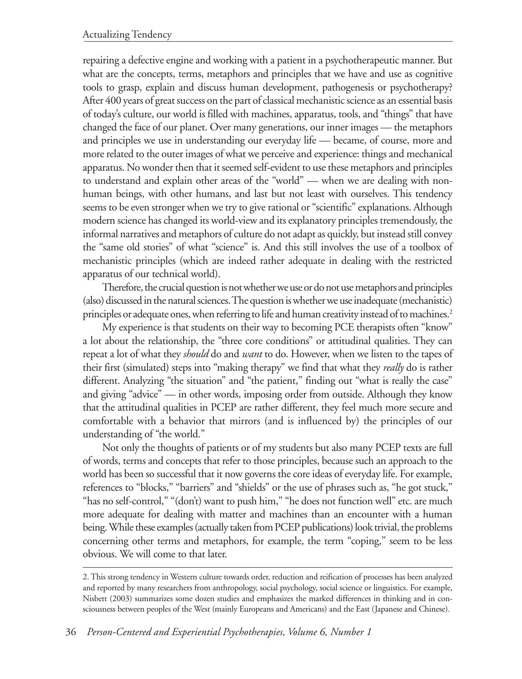repairing a defective engine and working with a patient in a psychotherapeutic manner. But what are the concepts, terms, metaphors and principles that we have and use as cognitive tools to grasp, explain and discuss human development, pathogenesis or psychotherapy? After 400 years of great success on the part of classical mechanistic science as an essential basis of today's culture, our world is filled with machines, apparatus, tools, and "things" that have changed the face of our planet. Over many generations, our inner images — the metaphors and principles we use in understanding our everyday life — became, of course, more and more related to the outer images of what we perceive and experience: things and mechanical apparatus. No wonder then that it seemed self-evident to use these metaphors and principles to understand and explain other areas of the "world" — when we are dealing with nonhuman beings, with other humans, and last but not least with ourselves. This tendency seems to be even stronger when we try to give rational or "scientific" explanations. Although modern science has changed its world-view and its explanatory principles tremendously, the informal narratives and metaphors of culture do not adapt as quickly, but instead still convey the "same old stories" of what "science" is. And this still involves the use of a toolbox of mechanistic principles (which are indeed rather adequate in dealing with the restricted apparatus of our technical world).

Therefore, the crucial question is not whether we use or do not use metaphors and principles (also) discussed in the natural sciences. The question is whether we use inadequate (mechanistic) principles or adequate ones, when referring to life and human creativity instead of to machines.<sup>2</sup>

My experience is that students on their way to becoming PCE therapists often "know" a lot about the relationship, the "three core conditions" or attitudinal qualities. They can repeat a lot of what they *should* do and *want* to do. However, when we listen to the tapes of their first (simulated) steps into "making therapy" we find that what they *really* do is rather different. Analyzing "the situation" and "the patient," finding out "what is really the case" and giving "advice" — in other words, imposing order from outside. Although they know that the attitudinal qualities in PCEP are rather different, they feel much more secure and comfortable with a behavior that mirrors (and is influenced by) the principles of our understanding of "the world."

Not only the thoughts of patients or of my students but also many PCEP texts are full of words, terms and concepts that refer to those principles, because such an approach to the world has been so successful that it now governs the core ideas of everyday life. For example, references to "blocks," "barriers" and "shields" or the use of phrases such as, "he got stuck," "has no self-control," "(don't) want to push him," "he does not function well" etc. are much more adequate for dealing with matter and machines than an encounter with a human being. While these examples (actually taken from PCEP publications) look trivial, the problems concerning other terms and metaphors, for example, the term "coping," seem to be less obvious. We will come to that later.

<sup>2.</sup> This strong tendency in Western culture towards order, reduction and reification of processes has been analyzed and reported by many researchers from anthropology, social psychology, social science or linguistics. For example, Nisbett (2003) summarizes some dozen studies and emphasizes the marked differences in thinking and in consciousness between peoples of the West (mainly Europeans and Americans) and the East (Japanese and Chinese).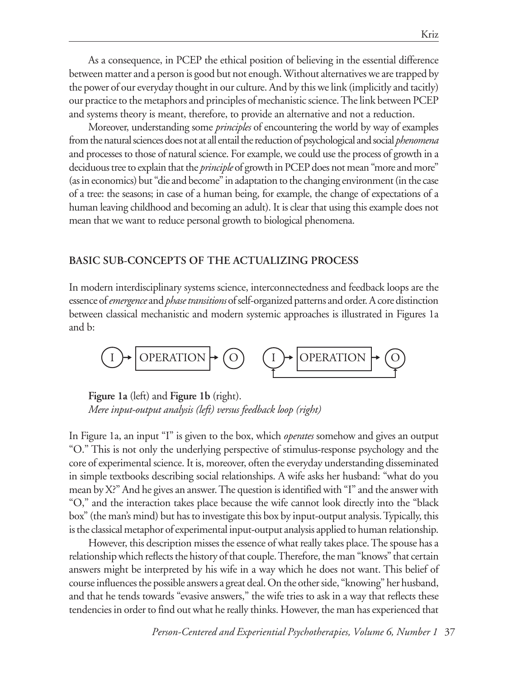As a consequence, in PCEP the ethical position of believing in the essential difference between matter and a person is good but not enough. Without alternatives we are trapped by the power of our everyday thought in our culture. And by this we link (implicitly and tacitly) our practice to the metaphors and principles of mechanistic science. The link between PCEP and systems theory is meant, therefore, to provide an alternative and not a reduction.

Moreover, understanding some *principles* of encountering the world by way of examples from the natural sciences does not at all entail the reduction of psychological and social *phenomena* and processes to those of natural science. For example, we could use the process of growth in a deciduous tree to explain that the *principle* of growth in PCEP does not mean "more and more" (as in economics) but "die and become" in adaptation to the changing environment (in the case of a tree: the seasons; in case of a human being, for example, the change of expectations of a human leaving childhood and becoming an adult). It is clear that using this example does not mean that we want to reduce personal growth to biological phenomena.

#### **BASIC SUB-CONCEPTS OF THE ACTUALIZING PROCESS**

In modern interdisciplinary systems science, interconnectedness and feedback loops are the essence of *emergence* and *phase transitions* of self-organized patterns and order. A core distinction between classical mechanistic and modern systemic approaches is illustrated in Figures 1a and b:



**Figure 1a** (left) and **Figure 1b** (right). *Mere input-output analysis (left) versus feedback loop (right)*

In Figure 1a, an input "I" is given to the box, which *operates* somehow and gives an output "O." This is not only the underlying perspective of stimulus-response psychology and the core of experimental science. It is, moreover, often the everyday understanding disseminated in simple textbooks describing social relationships. A wife asks her husband: "what do you mean by X?" And he gives an answer. The question is identified with "I" and the answer with "O," and the interaction takes place because the wife cannot look directly into the "black box" (the man's mind) but has to investigate this box by input-output analysis. Typically, this is the classical metaphor of experimental input-output analysis applied to human relationship.

However, this description misses the essence of what really takes place. The spouse has a relationship which reflects the history of that couple. Therefore, the man "knows" that certain answers might be interpreted by his wife in a way which he does not want. This belief of course influences the possible answers a great deal. On the other side, "knowing" her husband, and that he tends towards "evasive answers," the wife tries to ask in a way that reflects these tendencies in order to find out what he really thinks. However, the man has experienced that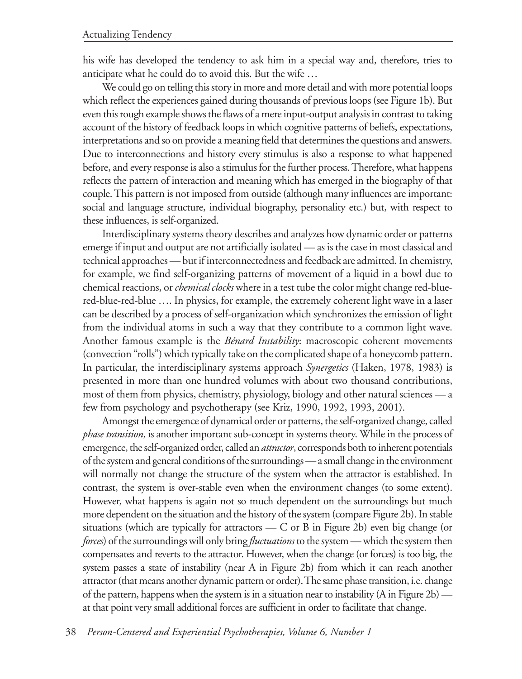his wife has developed the tendency to ask him in a special way and, therefore, tries to anticipate what he could do to avoid this. But the wife …

We could go on telling this story in more and more detail and with more potential loops which reflect the experiences gained during thousands of previous loops (see Figure 1b). But even this rough example shows the flaws of a mere input-output analysis in contrast to taking account of the history of feedback loops in which cognitive patterns of beliefs, expectations, interpretations and so on provide a meaning field that determines the questions and answers. Due to interconnections and history every stimulus is also a response to what happened before, and every response is also a stimulus for the further process. Therefore, what happens reflects the pattern of interaction and meaning which has emerged in the biography of that couple. This pattern is not imposed from outside (although many influences are important: social and language structure, individual biography, personality etc.) but, with respect to these influences, is self-organized.

Interdisciplinary systems theory describes and analyzes how dynamic order or patterns emerge if input and output are not artificially isolated — as is the case in most classical and technical approaches — but if interconnectedness and feedback are admitted. In chemistry, for example, we find self-organizing patterns of movement of a liquid in a bowl due to chemical reactions, or *chemical clocks* where in a test tube the color might change red-bluered-blue-red-blue …. In physics, for example, the extremely coherent light wave in a laser can be described by a process of self-organization which synchronizes the emission of light from the individual atoms in such a way that they contribute to a common light wave. Another famous example is the *Bénard Instability*: macroscopic coherent movements (convection "rolls") which typically take on the complicated shape of a honeycomb pattern. In particular, the interdisciplinary systems approach *Synergetics* (Haken, 1978, 1983) is presented in more than one hundred volumes with about two thousand contributions, most of them from physics, chemistry, physiology, biology and other natural sciences — a few from psychology and psychotherapy (see Kriz, 1990, 1992, 1993, 2001).

Amongst the emergence of dynamical order or patterns, the self-organized change, called *phase transition*, is another important sub-concept in systems theory. While in the process of emergence, the self-organized order, called an *attractor*, corresponds both to inherent potentials of the system and general conditions of the surroundings — a small change in the environment will normally not change the structure of the system when the attractor is established. In contrast, the system is over-stable even when the environment changes (to some extent). However, what happens is again not so much dependent on the surroundings but much more dependent on the situation and the history of the system (compare Figure 2b). In stable situations (which are typically for attractors — C or B in Figure 2b) even big change (or *forces*) of the surroundings will only bring *fluctuations* to the system — which the system then compensates and reverts to the attractor. However, when the change (or forces) is too big, the system passes a state of instability (near A in Figure 2b) from which it can reach another attractor (that means another dynamic pattern or order). The same phase transition, i.e. change of the pattern, happens when the system is in a situation near to instability (A in Figure 2b) at that point very small additional forces are sufficient in order to facilitate that change.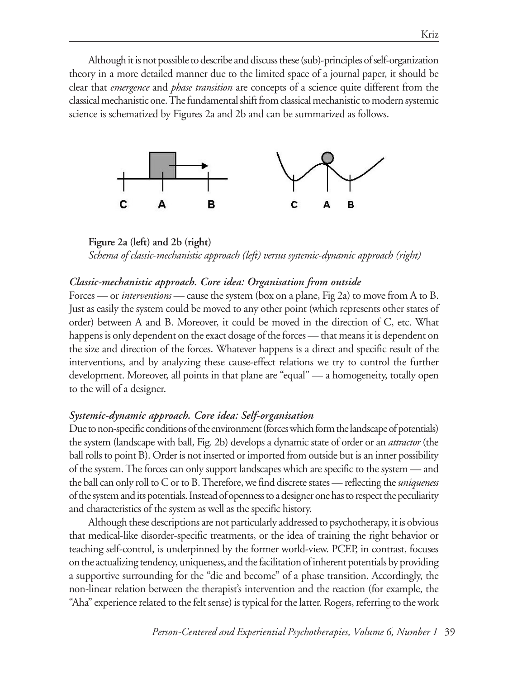Although it is not possible to describe and discuss these (sub)-principles of self-organization theory in a more detailed manner due to the limited space of a journal paper, it should be clear that *emergence* and *phase transition* are concepts of a science quite different from the classical mechanistic one. The fundamental shift from classical mechanistic to modern systemic science is schematized by Figures 2a and 2b and can be summarized as follows.



**Figure 2a (left) and 2b (right)** *Schema of classic-mechanistic approach (left) versus systemic-dynamic approach (right)*

# *Classic-mechanistic approach. Core idea: Organisation from outside*

Forces — or *interventions* — cause the system (box on a plane, Fig 2a) to move from A to B. Just as easily the system could be moved to any other point (which represents other states of order) between A and B. Moreover, it could be moved in the direction of C, etc. What happens is only dependent on the exact dosage of the forces — that means it is dependent on the size and direction of the forces. Whatever happens is a direct and specific result of the interventions, and by analyzing these cause-effect relations we try to control the further development. Moreover, all points in that plane are "equal" — a homogeneity, totally open to the will of a designer.

# *Systemic-dynamic approach. Core idea: Self-organisation*

Due to non-specific conditions of the environment (forces which form the landscape of potentials) the system (landscape with ball, Fig. 2b) develops a dynamic state of order or an *attractor* (the ball rolls to point B). Order is not inserted or imported from outside but is an inner possibility of the system. The forces can only support landscapes which are specific to the system — and the ball can only roll to C or to B. Therefore, we find discrete states — reflecting the *uniqueness* of the system and its potentials. Instead of openness to a designer one has to respect the peculiarity and characteristics of the system as well as the specific history.

Although these descriptions are not particularly addressed to psychotherapy, it is obvious that medical-like disorder-specific treatments, or the idea of training the right behavior or teaching self-control, is underpinned by the former world-view. PCEP, in contrast, focuses on the actualizing tendency, uniqueness, and the facilitation of inherent potentials by providing a supportive surrounding for the "die and become" of a phase transition. Accordingly, the non-linear relation between the therapist's intervention and the reaction (for example, the "Aha" experience related to the felt sense) is typical for the latter. Rogers, referring to the work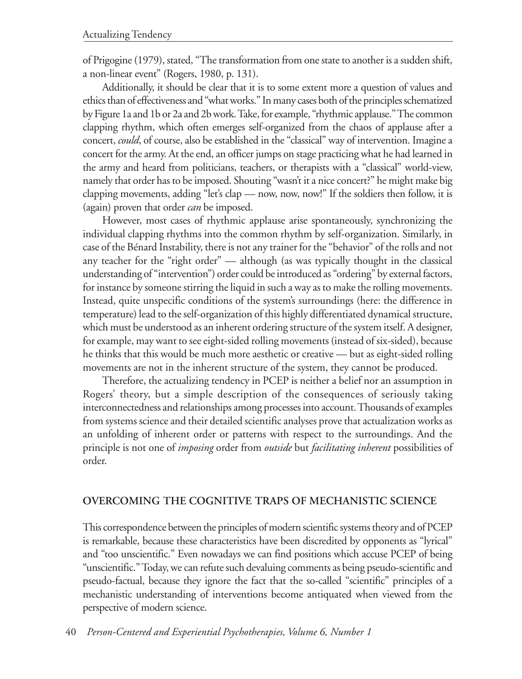of Prigogine (1979), stated, "The transformation from one state to another is a sudden shift, a non-linear event" (Rogers, 1980, p. 131).

Additionally, it should be clear that it is to some extent more a question of values and ethics than of effectiveness and "what works." In many cases both of the principles schematized by Figure 1a and 1b or 2a and 2b work. Take, for example, "rhythmic applause." The common clapping rhythm, which often emerges self-organized from the chaos of applause after a concert, *could*, of course, also be established in the "classical" way of intervention. Imagine a concert for the army. At the end, an officer jumps on stage practicing what he had learned in the army and heard from politicians, teachers, or therapists with a "classical" world-view, namely that order has to be imposed. Shouting "wasn't it a nice concert?" he might make big clapping movements, adding "let's clap — now, now, now!" If the soldiers then follow, it is (again) proven that order *can* be imposed.

However, most cases of rhythmic applause arise spontaneously, synchronizing the individual clapping rhythms into the common rhythm by self-organization. Similarly, in case of the Bénard Instability, there is not any trainer for the "behavior" of the rolls and not any teacher for the "right order" — although (as was typically thought in the classical understanding of "intervention") order could be introduced as "ordering" by external factors, for instance by someone stirring the liquid in such a way as to make the rolling movements. Instead, quite unspecific conditions of the system's surroundings (here: the difference in temperature) lead to the self-organization of this highly differentiated dynamical structure, which must be understood as an inherent ordering structure of the system itself. A designer, for example, may want to see eight-sided rolling movements (instead of six-sided), because he thinks that this would be much more aesthetic or creative — but as eight-sided rolling movements are not in the inherent structure of the system, they cannot be produced.

Therefore, the actualizing tendency in PCEP is neither a belief nor an assumption in Rogers' theory, but a simple description of the consequences of seriously taking interconnectedness and relationships among processes into account. Thousands of examples from systems science and their detailed scientific analyses prove that actualization works as an unfolding of inherent order or patterns with respect to the surroundings. And the principle is not one of *imposing* order from *outside* but *facilitating inherent* possibilities of order.

# **OVERCOMING THE COGNITIVE TRAPS OF MECHANISTIC SCIENCE**

This correspondence between the principles of modern scientific systems theory and of PCEP is remarkable, because these characteristics have been discredited by opponents as "lyrical" and "too unscientific." Even nowadays we can find positions which accuse PCEP of being "unscientific." Today, we can refute such devaluing comments as being pseudo-scientific and pseudo-factual, because they ignore the fact that the so-called "scientific" principles of a mechanistic understanding of interventions become antiquated when viewed from the perspective of modern science.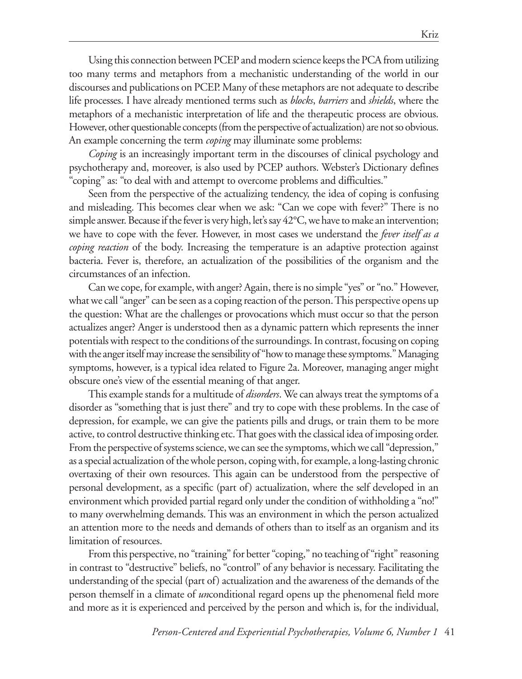Using this connection between PCEP and modern science keeps the PCA from utilizing too many terms and metaphors from a mechanistic understanding of the world in our discourses and publications on PCEP. Many of these metaphors are not adequate to describe life processes. I have already mentioned terms such as *blocks*, *barriers* and *shields*, where the metaphors of a mechanistic interpretation of life and the therapeutic process are obvious. However, other questionable concepts (from the perspective of actualization) are not so obvious. An example concerning the term *coping* may illuminate some problems:

*Coping* is an increasingly important term in the discourses of clinical psychology and psychotherapy and, moreover, is also used by PCEP authors. Webster's Dictionary defines "coping" as: "to deal with and attempt to overcome problems and difficulties."

Seen from the perspective of the actualizing tendency, the idea of coping is confusing and misleading. This becomes clear when we ask: "Can we cope with fever?" There is no simple answer. Because if the fever is very high, let's say 42°C, we have to make an intervention; we have to cope with the fever. However, in most cases we understand the *fever itself as a coping reaction* of the body. Increasing the temperature is an adaptive protection against bacteria. Fever is, therefore, an actualization of the possibilities of the organism and the circumstances of an infection.

Can we cope, for example, with anger? Again, there is no simple "yes" or "no." However, what we call "anger" can be seen as a coping reaction of the person. This perspective opens up the question: What are the challenges or provocations which must occur so that the person actualizes anger? Anger is understood then as a dynamic pattern which represents the inner potentials with respect to the conditions of the surroundings. In contrast, focusing on coping with the anger itself may increase the sensibility of "how to manage these symptoms." Managing symptoms, however, is a typical idea related to Figure 2a. Moreover, managing anger might obscure one's view of the essential meaning of that anger.

This example stands for a multitude of *disorders*. We can always treat the symptoms of a disorder as "something that is just there" and try to cope with these problems. In the case of depression, for example, we can give the patients pills and drugs, or train them to be more active, to control destructive thinking etc. That goes with the classical idea of imposing order. From the perspective of systems science, we can see the symptoms, which we call "depression," as a special actualization of the whole person, coping with, for example, a long-lasting chronic overtaxing of their own resources. This again can be understood from the perspective of personal development, as a specific (part of) actualization, where the self developed in an environment which provided partial regard only under the condition of withholding a "no!" to many overwhelming demands. This was an environment in which the person actualized an attention more to the needs and demands of others than to itself as an organism and its limitation of resources.

From this perspective, no "training" for better "coping," no teaching of "right" reasoning in contrast to "destructive" beliefs, no "control" of any behavior is necessary. Facilitating the understanding of the special (part of) actualization and the awareness of the demands of the person themself in a climate of *un*conditional regard opens up the phenomenal field more and more as it is experienced and perceived by the person and which is, for the individual,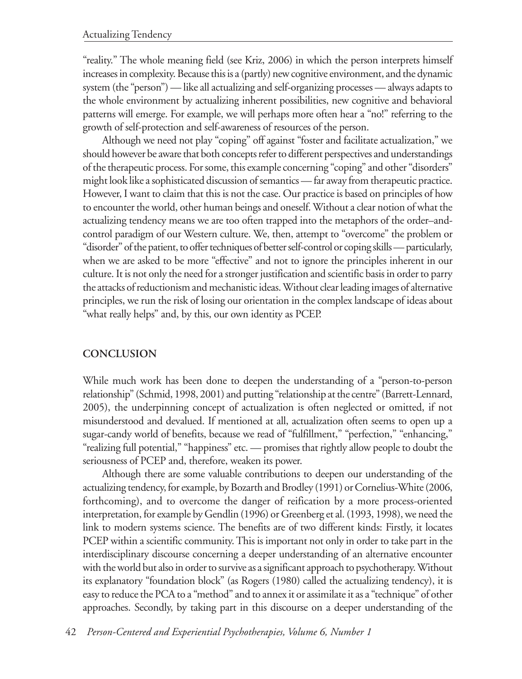"reality." The whole meaning field (see Kriz, 2006) in which the person interprets himself increases in complexity. Because this is a (partly) new cognitive environment, and the dynamic system (the "person") — like all actualizing and self-organizing processes — always adapts to the whole environment by actualizing inherent possibilities, new cognitive and behavioral patterns will emerge. For example, we will perhaps more often hear a "no!" referring to the growth of self-protection and self-awareness of resources of the person.

Although we need not play "coping" off against "foster and facilitate actualization," we should however be aware that both concepts refer to different perspectives and understandings of the therapeutic process. For some, this example concerning "coping" and other "disorders" might look like a sophisticated discussion of semantics — far away from therapeutic practice. However, I want to claim that this is not the case. Our practice is based on principles of how to encounter the world, other human beings and oneself. Without a clear notion of what the actualizing tendency means we are too often trapped into the metaphors of the order–andcontrol paradigm of our Western culture. We, then, attempt to "overcome" the problem or "disorder" of the patient, to offer techniques of better self-control or coping skills — particularly, when we are asked to be more "effective" and not to ignore the principles inherent in our culture. It is not only the need for a stronger justification and scientific basis in order to parry the attacks of reductionism and mechanistic ideas. Without clear leading images of alternative principles, we run the risk of losing our orientation in the complex landscape of ideas about "what really helps" and, by this, our own identity as PCEP.

# **CONCLUSION**

While much work has been done to deepen the understanding of a "person-to-person relationship" (Schmid, 1998, 2001) and putting "relationship at the centre" (Barrett-Lennard, 2005), the underpinning concept of actualization is often neglected or omitted, if not misunderstood and devalued. If mentioned at all, actualization often seems to open up a sugar-candy world of benefits, because we read of "fulfillment," "perfection," "enhancing," "realizing full potential," "happiness" etc. — promises that rightly allow people to doubt the seriousness of PCEP and, therefore, weaken its power.

Although there are some valuable contributions to deepen our understanding of the actualizing tendency, for example, by Bozarth and Brodley (1991) or Cornelius-White (2006, forthcoming), and to overcome the danger of reification by a more process-oriented interpretation, for example by Gendlin (1996) or Greenberg et al. (1993, 1998), we need the link to modern systems science. The benefits are of two different kinds: Firstly, it locates PCEP within a scientific community. This is important not only in order to take part in the interdisciplinary discourse concerning a deeper understanding of an alternative encounter with the world but also in order to survive as a significant approach to psychotherapy. Without its explanatory "foundation block" (as Rogers (1980) called the actualizing tendency), it is easy to reduce the PCA to a "method" and to annex it or assimilate it as a "technique" of other approaches. Secondly, by taking part in this discourse on a deeper understanding of the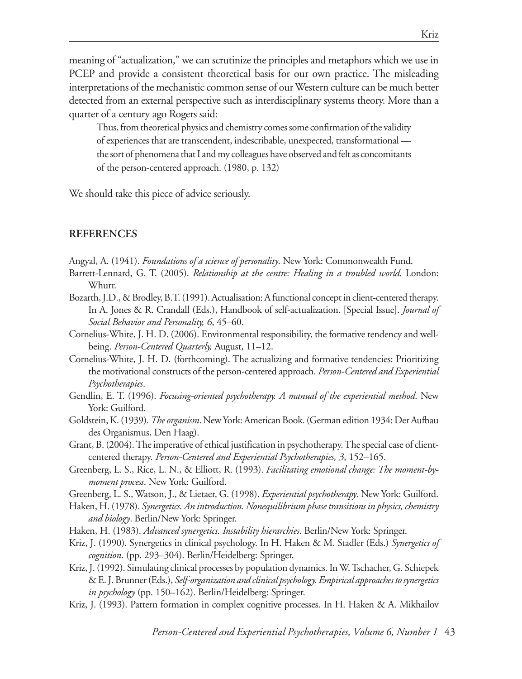meaning of "actualization," we can scrutinize the principles and metaphors which we use in PCEP and provide a consistent theoretical basis for our own practice. The misleading interpretations of the mechanistic common sense of our Western culture can be much better detected from an external perspective such as interdisciplinary systems theory. More than a quarter of a century ago Rogers said:

Thus, from theoretical physics and chemistry comes some confirmation of the validity of experiences that are transcendent, indescribable, unexpected, transformational the sort of phenomena that I and my colleagues have observed and felt as concomitants of the person-centered approach. (1980, p. 132)

We should take this piece of advice seriously.

### **REFERENCES**

- Angyal, A. (1941). *Foundations of a science of personality*. New York: Commonwealth Fund.
- Barrett-Lennard, G. T. (2005). *Relationship at the centre: Healing in a troubled world*. London: Whurr.
- Bozarth, J.D., & Brodley, B.T. (1991). Actualisation: A functional concept in client-centered therapy. In A. Jones & R. Crandall (Eds.), Handbook of self-actualization. [Special Issue]. *Journal of Social Behavior and Personality, 6*, 45–60.
- Cornelius-White, J. H. D. (2006). Environmental responsibility, the formative tendency and wellbeing. *Person-Centered Quarterly,* August, 11–12.
- Cornelius-White, J. H. D. (forthcoming). The actualizing and formative tendencies: Prioritizing the motivational constructs of the person-centered approach. *Person-Centered and Experiential Psychotherapies*.
- Gendlin, E. T. (1996). *Focusing-oriented psychotherapy. A manual of the experiential method*. New York: Guilford.
- Goldstein, K. (1939). *The organism*. New York: American Book. (German edition 1934: Der Aufbau des Organismus, Den Haag).
- Grant, B. (2004). The imperative of ethical justification in psychotherapy. The special case of clientcentered therapy. *Person-Centered and Experiential Psychotherapies, 3*, 152–165.
- Greenberg, L. S., Rice, L. N., & Elliott, R. (1993). *Facilitating emotional change: The moment-bymoment process*. New York: Guilford.
- Greenberg, L. S., Watson, J., & Lietaer, G. (1998). *Experiential psychotherapy*. New York: Guilford.
- Haken, H. (1978). *Synergetics. An introduction. Nonequilibrium phase transitions in physics, chemistry and biology*. Berlin/New York: Springer.
- Haken, H. (1983). *Advanced synergetics. Instability hierarchies*. Berlin/New York: Springer.
- Kriz, J. (1990). Synergetics in clinical psychology. In H. Haken & M. Stadler (Eds.) *Synergetics of cognition*. (pp. 293–304). Berlin/Heidelberg: Springer.
- Kriz, J. (1992). Simulating clinical processes by population dynamics. In W. Tschacher, G. Schiepek & E. J. Brunner (Eds.), *Self-organization and clinical psychology. Empirical approaches to synergetics in psychology* (pp. 150–162). Berlin/Heidelberg: Springer.
- Kriz, J. (1993). Pattern formation in complex cognitive processes. In H. Haken & A. Mikhailov